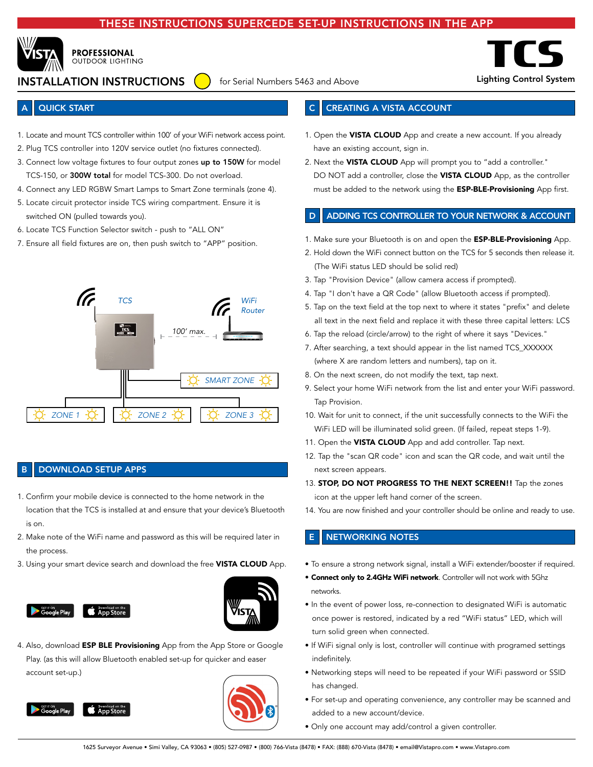## INSTRUCTIONS SUPERCEDE SET-UP INSTRUCTIONS IN THE APP



**PROFESSIONAL OUTDOOR LIGHTING** 

# INSTALLATION INSTRUCTIONS

for Serial Numbers 5463 and Above **Lighting Control System** 



## **QUICK START**

- 1. Locate and mount TCS controller within 100' of your WiFi network access point.
- 2. Plug TCS controller into 120V service outlet (no fixtures connected).
- 3. Connect low voltage fixtures to four output zones up to 150W for model TCS-150, or 300W total for model TCS-300. Do not overload.
- 4. Connect any LED RGBW Smart Lamps to Smart Zone terminals (zone 4).
- 5. Locate circuit protector inside TCS wiring compartment. Ensure it is switched ON (pulled towards you).
- 6. Locate TCS Function Selector switch push to "ALL ON"
- 7. Ensure all field fixtures are on, then push switch to "APP" position.



## DOWNLOAD SETUP APPS

- 1. Confirm your mobile device is connected to the home network in the location that the TCS is installed at and ensure that your device's Bluetooth is on.
- 2. Make note of the WiFi name and password as this will be required later in the process.
- 3. Using your smart device search and download the free VISTA CLOUD App.





4. Also, download ESP BLE Provisioning App from the App Store or Google Play. (as this will allow Bluetooth enabled set-up for quicker and easer account set-up.)





## **CREATING A VISTA ACCOUNT**

- 1. Open the VISTA CLOUD App and create a new account. If you already have an existing account, sign in.
- 2. Next the VISTA CLOUD App will prompt you to "add a controller." DO NOT add a controller, close the VISTA CLOUD App, as the controller must be added to the network using the **ESP-BLE-Provisioning** App first.

#### ADDING TCS CONTROLLER TO YOUR NETWORK & ACCOUNT

- 1. Make sure your Bluetooth is on and open the **ESP-BLE-Provisioning** App.
- 2. Hold down the WiFi connect button on the TCS for 5 seconds then release it. (The WiFi status LED should be solid red)
- 3. Tap "Provision Device" (allow camera access if prompted).
- 4. Tap "I don't have a QR Code" (allow Bluetooth access if prompted).
- 5. Tap on the text field at the top next to where it states "prefix" and delete all text in the next field and replace it with these three capital letters: LCS
- 6. Tap the reload (circle/arrow) to the right of where it says "Devices."
- 7. After searching, a text should appear in the list named TCS\_XXXXXX (where X are random letters and numbers), tap on it.
- 8. On the next screen, do not modify the text, tap next.
- 9. Select your home WiFi network from the list and enter your WiFi password. Tap Provision.
- 10. Wait for unit to connect, if the unit successfully connects to the WiFi the WiFi LED will be illuminated solid green. (If failed, repeat steps 1-9).
- 11. Open the VISTA CLOUD App and add controller. Tap next.
- 12. Tap the "scan QR code" icon and scan the QR code, and wait until the next screen appears.
- 13. STOP, DO NOT PROGRESS TO THE NEXT SCREEN!! Tap the zones icon at the upper left hand corner of the screen.
- 14. You are now finished and your controller should be online and ready to use.

### **NETWORKING NOTES**

- To ensure a strong network signal, install a WiFi extender/booster if required.
- Connect only to 2.4GHz WiFi network. Controller will not work with 5Ghz networks.
- In the event of power loss, re-connection to designated WiFi is automatic once power is restored, indicated by a red "WiFi status" LED, which will turn solid green when connected.
- If WiFi signal only is lost, controller will continue with programed settings indefinitely.
- Networking steps will need to be repeated if your WiFi password or SSID has changed.
- For set-up and operating convenience, any controller may be scanned and added to a new account/device.
- Only one account may add/control a given controller.